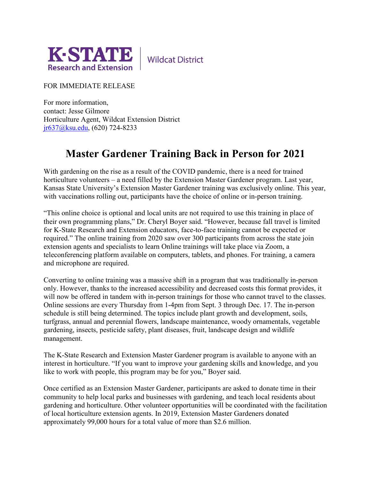

**Wildcat District** 

FOR IMMEDIATE RELEASE

For more information, contact: Jesse Gilmore Horticulture Agent, Wildcat Extension District [jr637@ksu.edu,](mailto:jr637@ksu.edu) (620) 724-8233

## **Master Gardener Training Back in Person for 2021**

With gardening on the rise as a result of the COVID pandemic, there is a need for trained horticulture volunteers – a need filled by the Extension Master Gardener program. Last year, Kansas State University's Extension Master Gardener training was exclusively online. This year, with vaccinations rolling out, participants have the choice of online or in-person training.

"This online choice is optional and local units are not required to use this training in place of their own programming plans," Dr. Cheryl Boyer said. "However, because fall travel is limited for K-State Research and Extension educators, face-to-face training cannot be expected or required." The online training from 2020 saw over 300 participants from across the state join extension agents and specialists to learn Online trainings will take place via Zoom, a teleconferencing platform available on computers, tablets, and phones. For training, a camera and microphone are required.

Converting to online training was a massive shift in a program that was traditionally in-person only. However, thanks to the increased accessibility and decreased costs this format provides, it will now be offered in tandem with in-person trainings for those who cannot travel to the classes. Online sessions are every Thursday from 1-4pm from Sept. 3 through Dec. 17. The in-person schedule is still being determined. The topics include plant growth and development, soils, turfgrass, annual and perennial flowers, landscape maintenance, woody ornamentals, vegetable gardening, insects, pesticide safety, plant diseases, fruit, landscape design and wildlife management.

The K-State Research and Extension Master Gardener program is available to anyone with an interest in horticulture. "If you want to improve your gardening skills and knowledge, and you like to work with people, this program may be for you," Boyer said.

Once certified as an Extension Master Gardener, participants are asked to donate time in their community to help local parks and businesses with gardening, and teach local residents about gardening and horticulture. Other volunteer opportunities will be coordinated with the facilitation of local horticulture extension agents. In 2019, Extension Master Gardeners donated approximately 99,000 hours for a total value of more than \$2.6 million.